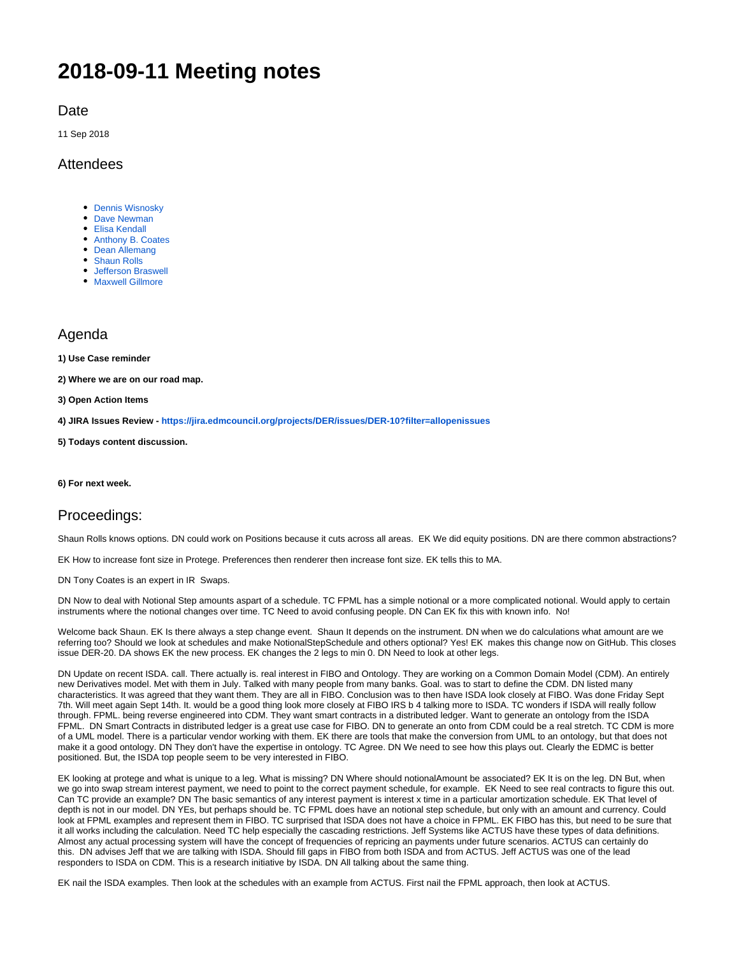# **2018-09-11 Meeting notes**

**Date** 

11 Sep 2018

## **Attendees**

- **[Dennis Wisnosky](https://wiki.edmcouncil.org/display/~DennisWisnosky)**
- [Dave Newman](https://wiki.edmcouncil.org/display/~dsnewman)
- [Elisa Kendall](https://wiki.edmcouncil.org/display/~ElisaKendall)
- [Anthony B. Coates](https://wiki.edmcouncil.org/display/~abcoates) • [Dean Allemang](https://wiki.edmcouncil.org/display/~dallemang)
- 
- [Shaun Rolls](https://wiki.edmcouncil.org/display/~shaun.rolls) [Jefferson Braswell](https://wiki.edmcouncil.org/display/~ljb)
- **[Maxwell Gillmore](https://wiki.edmcouncil.org/display/~maxwellrgillmore)**

## Agenda

**1) Use Case reminder**

**2) Where we are on our road map.** 

**3) Open Action Items**

**4) JIRA Issues Review - <https://jira.edmcouncil.org/projects/DER/issues/DER-10?filter=allopenissues>**

**5) Todays content discussion.**

**6) For next week.**

### Proceedings:

Shaun Rolls knows options. DN could work on Positions because it cuts across all areas. EK We did equity positions. DN are there common abstractions?

EK How to increase font size in Protege. Preferences then renderer then increase font size. EK tells this to MA.

DN Tony Coates is an expert in IR Swaps.

DN Now to deal with Notional Step amounts aspart of a schedule. TC FPML has a simple notional or a more complicated notional. Would apply to certain instruments where the notional changes over time. TC Need to avoid confusing people. DN Can EK fix this with known info. No!

Welcome back Shaun. EK Is there always a step change event. Shaun It depends on the instrument. DN when we do calculations what amount are we referring too? Should we look at schedules and make NotionalStepSchedule and others optional? Yes! EK makes this change now on GitHub. This closes issue DER-20. DA shows EK the new process. EK changes the 2 legs to min 0. DN Need to look at other legs.

DN Update on recent ISDA. call. There actually is. real interest in FIBO and Ontology. They are working on a Common Domain Model (CDM). An entirely new Derivatives model. Met with them in July. Talked with many people from many banks. Goal. was to start to define the CDM. DN listed many characteristics. It was agreed that they want them. They are all in FIBO. Conclusion was to then have ISDA look closely at FIBO. Was done Friday Sept 7th. Will meet again Sept 14th. It. would be a good thing look more closely at FIBO IRS b 4 talking more to ISDA. TC wonders if ISDA will really follow through. FPML. being reverse engineered into CDM. They want smart contracts in a distributed ledger. Want to generate an ontology from the ISDA FPML. DN Smart Contracts in distributed ledger is a great use case for FIBO. DN to generate an onto from CDM could be a real stretch. TC CDM is more of a UML model. There is a particular vendor working with them. EK there are tools that make the conversion from UML to an ontology, but that does not make it a good ontology. DN They don't have the expertise in ontology. TC Agree. DN We need to see how this plays out. Clearly the EDMC is better positioned. But, the ISDA top people seem to be very interested in FIBO.

EK looking at protege and what is unique to a leg. What is missing? DN Where should notionalAmount be associated? EK It is on the leg. DN But, when we go into swap stream interest payment, we need to point to the correct payment schedule, for example. EK Need to see real contracts to figure this out. Can TC provide an example? DN The basic semantics of any interest payment is interest x time in a particular amortization schedule. EK That level of depth is not in our model. DN YEs, but perhaps should be. TC FPML does have an notional step schedule, but only with an amount and currency. Could look at FPML examples and represent them in FIBO. TC surprised that ISDA does not have a choice in FPML. EK FIBO has this, but need to be sure that it all works including the calculation. Need TC help especially the cascading restrictions. Jeff Systems like ACTUS have these types of data definitions. Almost any actual processing system will have the concept of frequencies of repricing an payments under future scenarios. ACTUS can certainly do this. DN advises Jeff that we are talking with ISDA. Should fill gaps in FIBO from both ISDA and from ACTUS. Jeff ACTUS was one of the lead responders to ISDA on CDM. This is a research initiative by ISDA. DN All talking about the same thing.

EK nail the ISDA examples. Then look at the schedules with an example from ACTUS. First nail the FPML approach, then look at ACTUS.